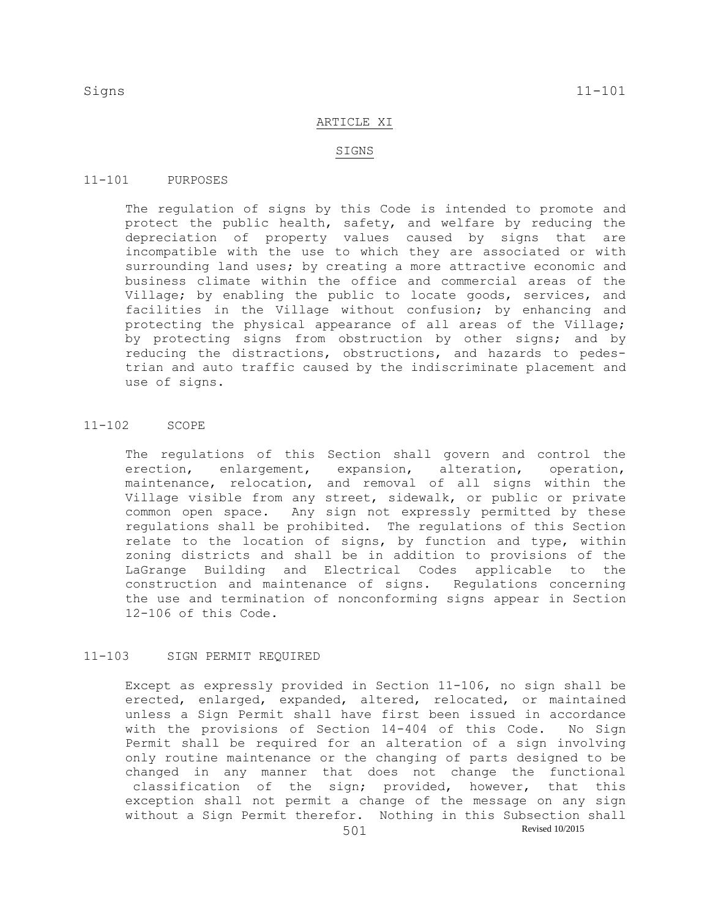### ARTICLE XI

### SIGNS

## 11-101 PURPOSES

The regulation of signs by this Code is intended to promote and protect the public health, safety, and welfare by reducing the depreciation of property values caused by signs that are incompatible with the use to which they are associated or with surrounding land uses; by creating a more attractive economic and business climate within the office and commercial areas of the Village; by enabling the public to locate goods, services, and facilities in the Village without confusion; by enhancing and protecting the physical appearance of all areas of the Village; by protecting signs from obstruction by other signs; and by reducing the distractions, obstructions, and hazards to pedestrian and auto traffic caused by the indiscriminate placement and use of signs.

## 11-102 SCOPE

The regulations of this Section shall govern and control the erection, enlargement, expansion, alteration, operation, maintenance, relocation, and removal of all signs within the Village visible from any street, sidewalk, or public or private common open space. Any sign not expressly permitted by these regulations shall be prohibited. The regulations of this Section relate to the location of signs, by function and type, within zoning districts and shall be in addition to provisions of the LaGrange Building and Electrical Codes applicable to the construction and maintenance of signs. Regulations concerning the use and termination of nonconforming signs appear in Section 12-106 of this Code.

# 11-103 SIGN PERMIT REQUIRED

Except as expressly provided in Section 11-106, no sign shall be erected, enlarged, expanded, altered, relocated, or maintained unless a Sign Permit shall have first been issued in accordance with the provisions of Section 14-404 of this Code. No Sign Permit shall be required for an alteration of a sign involving only routine maintenance or the changing of parts designed to be changed in any manner that does not change the functional classification of the sign; provided, however, that this exception shall not permit a change of the message on any sign without a Sign Permit therefor. Nothing in this Subsection shall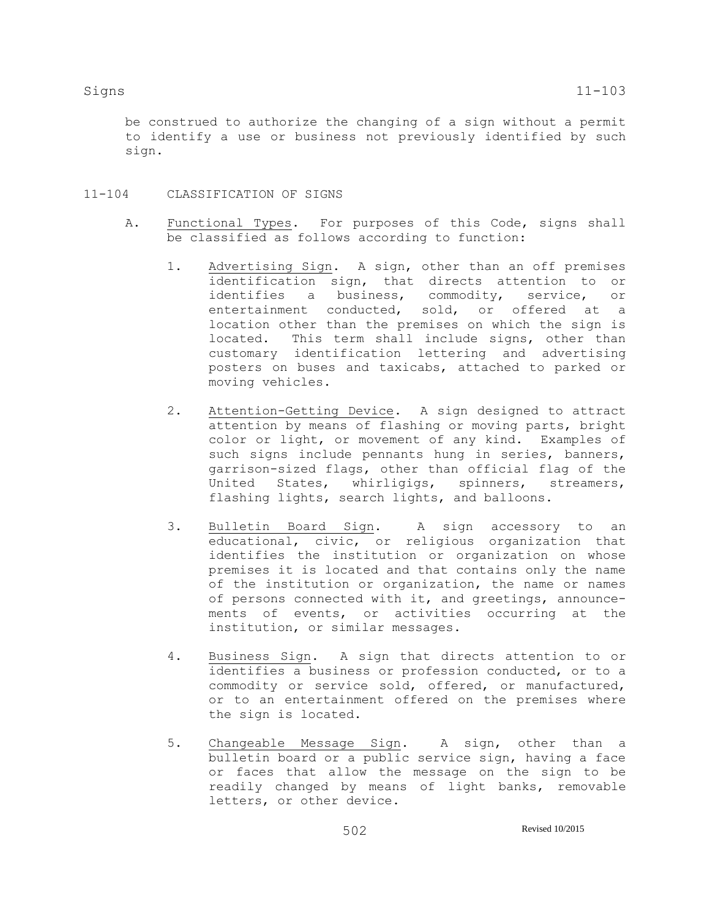be construed to authorize the changing of a sign without a permit to identify a use or business not previously identified by such sign.

- 11-104 CLASSIFICATION OF SIGNS
	- A. Functional Types. For purposes of this Code, signs shall be classified as follows according to function:
		- 1. Advertising Sign. A sign, other than an off premises identification sign, that directs attention to or identifies a business, commodity, service, or entertainment conducted, sold, or offered at a location other than the premises on which the sign is located. This term shall include signs, other than customary identification lettering and advertising posters on buses and taxicabs, attached to parked or moving vehicles.
		- 2. Attention-Getting Device. A sign designed to attract attention by means of flashing or moving parts, bright color or light, or movement of any kind. Examples of such signs include pennants hung in series, banners, garrison-sized flags, other than official flag of the United States, whirligigs, spinners, streamers, flashing lights, search lights, and balloons.
		- 3. Bulletin Board Sign. A sign accessory to an educational, civic, or religious organization that identifies the institution or organization on whose premises it is located and that contains only the name of the institution or organization, the name or names of persons connected with it, and greetings, announcements of events, or activities occurring at the institution, or similar messages.
		- 4. Business Sign. A sign that directs attention to or identifies a business or profession conducted, or to a commodity or service sold, offered, or manufactured, or to an entertainment offered on the premises where the sign is located.
		- 5. Changeable Message Sign. A sign, other than a bulletin board or a public service sign, having a face or faces that allow the message on the sign to be readily changed by means of light banks, removable letters, or other device.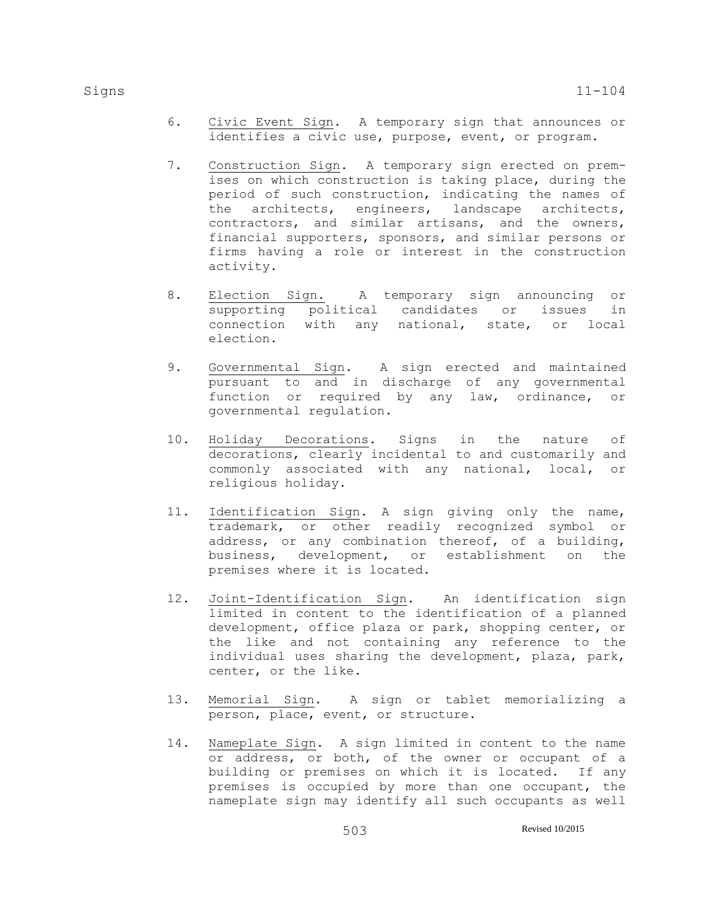- 6. Civic Event Sign. A temporary sign that announces or identifies a civic use, purpose, event, or program.
- 7. Construction Sign. A temporary sign erected on premises on which construction is taking place, during the period of such construction, indicating the names of the architects, engineers, landscape architects, contractors, and similar artisans, and the owners, financial supporters, sponsors, and similar persons or firms having a role or interest in the construction activity.
- 8. Election Sign. A temporary sign announcing or supporting political candidates or issues in connection with any national, state, or local election.
- 9. Governmental Sign. A sign erected and maintained pursuant to and in discharge of any governmental function or required by any law, ordinance, or governmental regulation.
- 10. Holiday Decorations. Signs in the nature of decorations, clearly incidental to and customarily and commonly associated with any national, local, or religious holiday.
- 11. Identification Sign. A sign giving only the name, trademark, or other readily recognized symbol or address, or any combination thereof, of a building, business, development, or establishment on the premises where it is located.
- 12. Joint-Identification Sign. An identification sign limited in content to the identification of a planned development, office plaza or park, shopping center, or the like and not containing any reference to the individual uses sharing the development, plaza, park, center, or the like.
- 13. Memorial Sign. A sign or tablet memorializing a person, place, event, or structure.
- 14. Nameplate Sign. A sign limited in content to the name or address, or both, of the owner or occupant of a building or premises on which it is located. If any premises is occupied by more than one occupant, the nameplate sign may identify all such occupants as well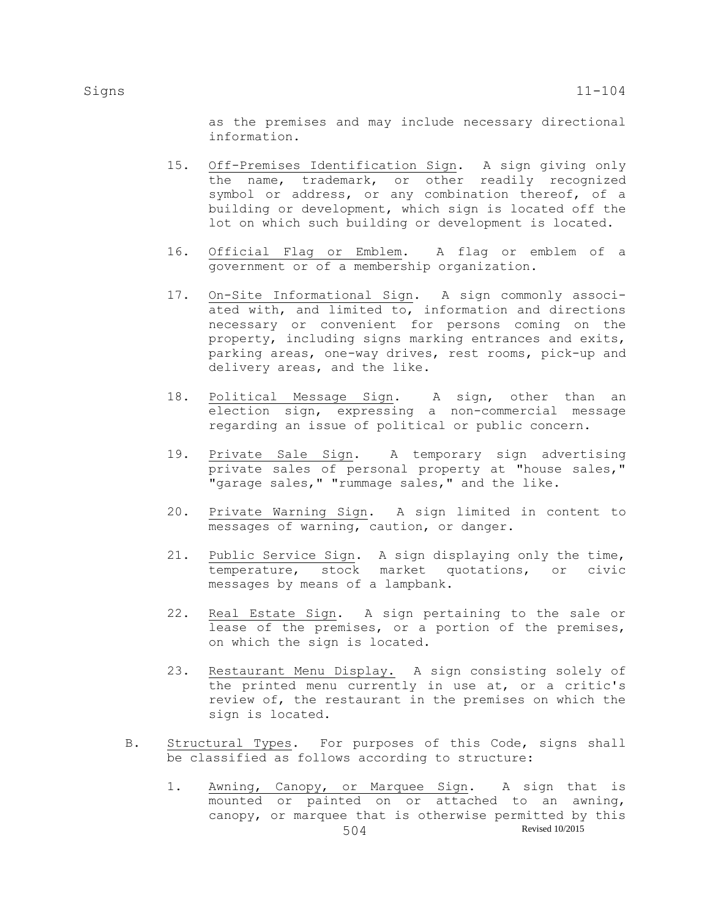as the premises and may include necessary directional information.

- 15. Off-Premises Identification Sign. A sign giving only the name, trademark, or other readily recognized symbol or address, or any combination thereof, of a building or development, which sign is located off the lot on which such building or development is located.
- 16. Official Flag or Emblem. A flag or emblem of a government or of a membership organization.
- 17. On-Site Informational Sign. A sign commonly associated with, and limited to, information and directions necessary or convenient for persons coming on the property, including signs marking entrances and exits, parking areas, one-way drives, rest rooms, pick-up and delivery areas, and the like.
- 18. Political Message Sign. A sign, other than an election sign, expressing a non-commercial message regarding an issue of political or public concern.
- 19. Private Sale Sign. A temporary sign advertising private sales of personal property at "house sales," "garage sales," "rummage sales," and the like.
- 20. Private Warning Sign. A sign limited in content to messages of warning, caution, or danger.
- 21. Public Service Sign. A sign displaying only the time, temperature, stock market quotations, or civic messages by means of a lampbank.
- 22. Real Estate Sign. A sign pertaining to the sale or lease of the premises, or a portion of the premises, on which the sign is located.
- 23. Restaurant Menu Display. A sign consisting solely of the printed menu currently in use at, or a critic's review of, the restaurant in the premises on which the sign is located.
- B. Structural Types. For purposes of this Code, signs shall be classified as follows according to structure:
	- 504 Revised 10/2015 1. Awning, Canopy, or Marquee Sign. A sign that is mounted or painted on or attached to an awning, canopy, or marquee that is otherwise permitted by this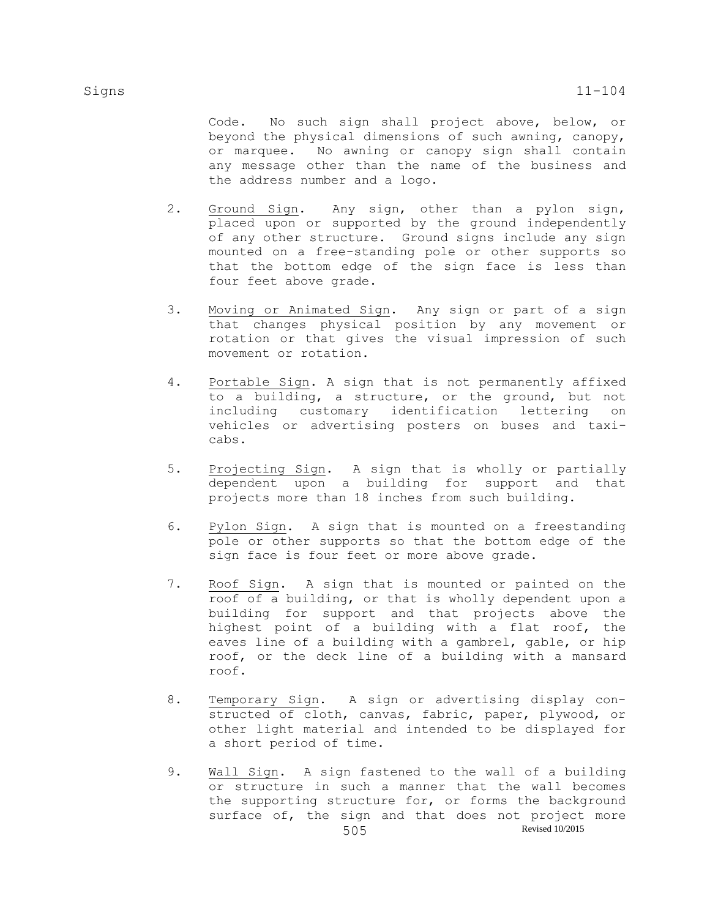Code. No such sign shall project above, below, or beyond the physical dimensions of such awning, canopy, or marquee. No awning or canopy sign shall contain any message other than the name of the business and the address number and a logo.

- 2. Ground Sign. Any sign, other than a pylon sign, placed upon or supported by the ground independently of any other structure. Ground signs include any sign mounted on a free-standing pole or other supports so that the bottom edge of the sign face is less than four feet above grade.
- 3. Moving or Animated Sign. Any sign or part of a sign that changes physical position by any movement or rotation or that gives the visual impression of such movement or rotation.
- 4. Portable Sign. A sign that is not permanently affixed to a building, a structure, or the ground, but not including customary identification lettering on vehicles or advertising posters on buses and taxicabs.
- 5. Projecting Sign. A sign that is wholly or partially dependent upon a building for support and that projects more than 18 inches from such building.
- 6. Pylon Sign. A sign that is mounted on a freestanding pole or other supports so that the bottom edge of the sign face is four feet or more above grade.
- 7. Roof Sign. A sign that is mounted or painted on the roof of a building, or that is wholly dependent upon a building for support and that projects above the highest point of a building with a flat roof, the eaves line of a building with a gambrel, gable, or hip roof, or the deck line of a building with a mansard roof.
- 8. Temporary Sign. A sign or advertising display constructed of cloth, canvas, fabric, paper, plywood, or other light material and intended to be displayed for a short period of time.
- 505 Revised 10/2015 9. Wall Sign. A sign fastened to the wall of a building or structure in such a manner that the wall becomes the supporting structure for, or forms the background surface of, the sign and that does not project more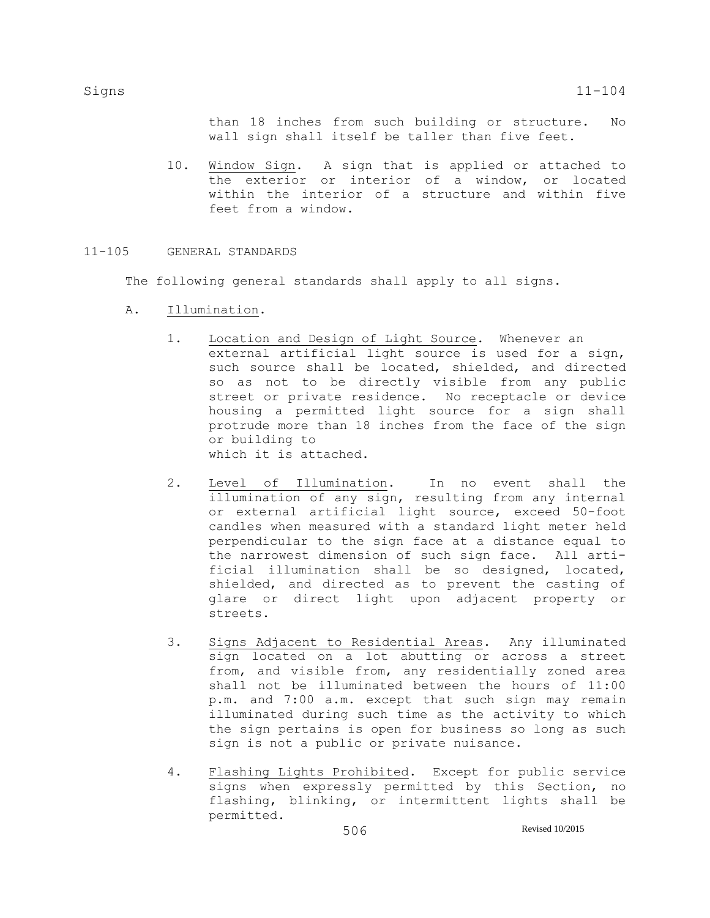than 18 inches from such building or structure. No wall sign shall itself be taller than five feet.

10. Window Sign. A sign that is applied or attached to the exterior or interior of a window, or located within the interior of a structure and within five feet from a window.

# 11-105 GENERAL STANDARDS

The following general standards shall apply to all signs.

- A. Illumination.
	- 1. Location and Design of Light Source. Whenever an external artificial light source is used for a sign, such source shall be located, shielded, and directed so as not to be directly visible from any public street or private residence. No receptacle or device housing a permitted light source for a sign shall protrude more than 18 inches from the face of the sign or building to which it is attached.
	- 2. Level of Illumination. In no event shall the illumination of any sign, resulting from any internal or external artificial light source, exceed 50-foot candles when measured with a standard light meter held perpendicular to the sign face at a distance equal to the narrowest dimension of such sign face. All artificial illumination shall be so designed, located, shielded, and directed as to prevent the casting of glare or direct light upon adjacent property or streets.
	- 3. Signs Adjacent to Residential Areas. Any illuminated sign located on a lot abutting or across a street from, and visible from, any residentially zoned area shall not be illuminated between the hours of 11:00 p.m. and 7:00 a.m. except that such sign may remain illuminated during such time as the activity to which the sign pertains is open for business so long as such sign is not a public or private nuisance.
	- 4. Flashing Lights Prohibited. Except for public service signs when expressly permitted by this Section, no flashing, blinking, or intermittent lights shall be permitted.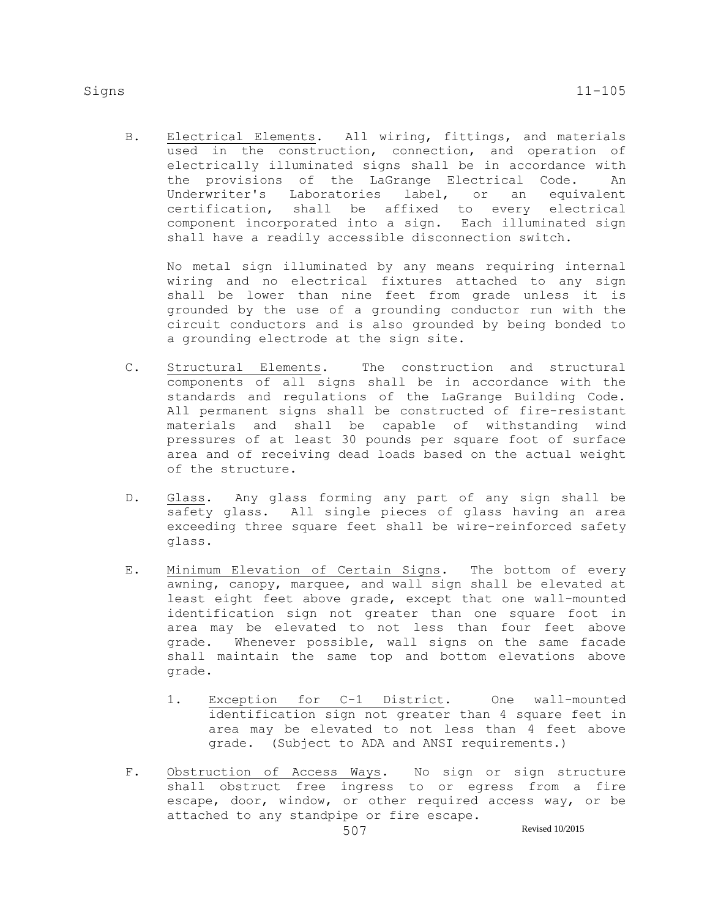B. Electrical Elements. All wiring, fittings, and materials used in the construction, connection, and operation of electrically illuminated signs shall be in accordance with the provisions of the LaGrange Electrical Code. An Underwriter's Laboratories label, or an equivalent certification, shall be affixed to every electrical component incorporated into a sign. Each illuminated sign shall have a readily accessible disconnection switch.

No metal sign illuminated by any means requiring internal wiring and no electrical fixtures attached to any sign shall be lower than nine feet from grade unless it is grounded by the use of a grounding conductor run with the circuit conductors and is also grounded by being bonded to a grounding electrode at the sign site.

- C. Structural Elements. The construction and structural components of all signs shall be in accordance with the standards and regulations of the LaGrange Building Code. All permanent signs shall be constructed of fire-resistant materials and shall be capable of withstanding wind pressures of at least 30 pounds per square foot of surface area and of receiving dead loads based on the actual weight of the structure.
- D. Glass. Any glass forming any part of any sign shall be safety glass. All single pieces of glass having an area exceeding three square feet shall be wire-reinforced safety glass.
- E. Minimum Elevation of Certain Signs. The bottom of every awning, canopy, marquee, and wall sign shall be elevated at least eight feet above grade, except that one wall-mounted identification sign not greater than one square foot in area may be elevated to not less than four feet above grade. Whenever possible, wall signs on the same facade shall maintain the same top and bottom elevations above grade.
	- 1. Exception for C-1 District. One wall-mounted identification sign not greater than 4 square feet in area may be elevated to not less than 4 feet above grade. (Subject to ADA and ANSI requirements.)
- F. Obstruction of Access Ways. No sign or sign structure shall obstruct free ingress to or egress from a fire escape, door, window, or other required access way, or be attached to any standpipe or fire escape.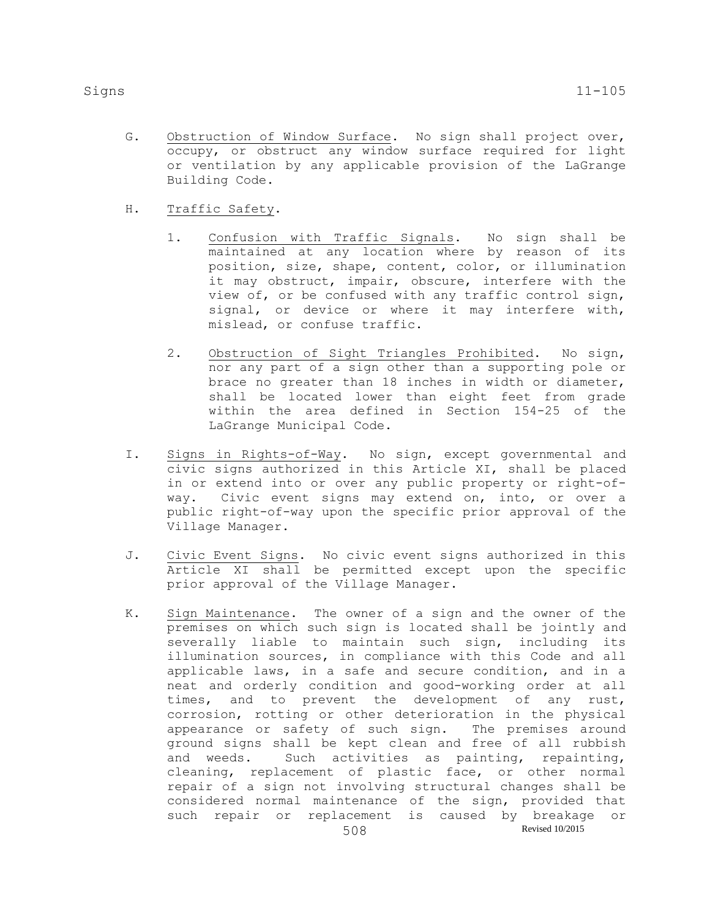- G. Obstruction of Window Surface. No sign shall project over, occupy, or obstruct any window surface required for light or ventilation by any applicable provision of the LaGrange Building Code.
- H. Traffic Safety.
	- 1. Confusion with Traffic Signals. No sign shall be maintained at any location where by reason of its position, size, shape, content, color, or illumination it may obstruct, impair, obscure, interfere with the view of, or be confused with any traffic control sign, signal, or device or where it may interfere with, mislead, or confuse traffic.
	- 2. Obstruction of Sight Triangles Prohibited. No sign, nor any part of a sign other than a supporting pole or brace no greater than 18 inches in width or diameter, shall be located lower than eight feet from grade within the area defined in Section 154-25 of the LaGrange Municipal Code.
- I. Signs in Rights-of-Way. No sign, except governmental and civic signs authorized in this Article XI, shall be placed in or extend into or over any public property or right-ofway. Civic event signs may extend on, into, or over a public right-of-way upon the specific prior approval of the Village Manager.
- J. Civic Event Signs. No civic event signs authorized in this Article XI shall be permitted except upon the specific prior approval of the Village Manager.
- 508 Revised 10/2015 K. Sign Maintenance. The owner of a sign and the owner of the premises on which such sign is located shall be jointly and severally liable to maintain such sign, including its illumination sources, in compliance with this Code and all applicable laws, in a safe and secure condition, and in a neat and orderly condition and good-working order at all times, and to prevent the development of any rust, corrosion, rotting or other deterioration in the physical appearance or safety of such sign. The premises around ground signs shall be kept clean and free of all rubbish and weeds. Such activities as painting, repainting, cleaning, replacement of plastic face, or other normal repair of a sign not involving structural changes shall be considered normal maintenance of the sign, provided that such repair or replacement is caused by breakage or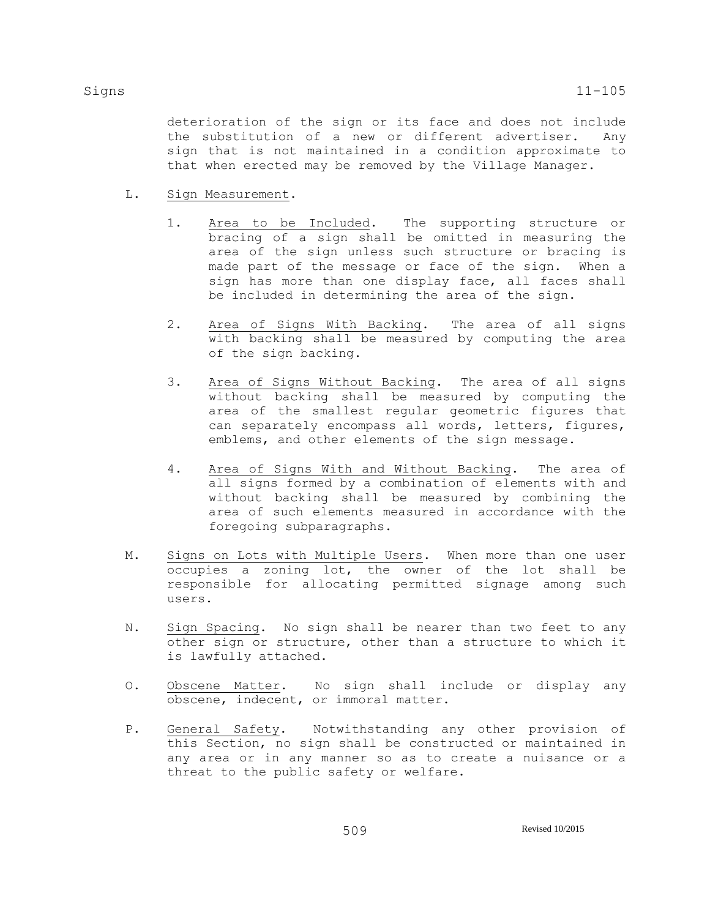deterioration of the sign or its face and does not include the substitution of a new or different advertiser. Any sign that is not maintained in a condition approximate to that when erected may be removed by the Village Manager.

- L. Sign Measurement.
	- 1. Area to be Included. The supporting structure or bracing of a sign shall be omitted in measuring the area of the sign unless such structure or bracing is made part of the message or face of the sign. When a sign has more than one display face, all faces shall be included in determining the area of the sign.
	- 2. Area of Signs With Backing. The area of all signs with backing shall be measured by computing the area of the sign backing.
	- 3. Area of Signs Without Backing. The area of all signs without backing shall be measured by computing the area of the smallest regular geometric figures that can separately encompass all words, letters, figures, emblems, and other elements of the sign message.
	- 4. Area of Signs With and Without Backing. The area of all signs formed by a combination of elements with and without backing shall be measured by combining the area of such elements measured in accordance with the foregoing subparagraphs.
- M. Signs on Lots with Multiple Users. When more than one user occupies a zoning lot, the owner of the lot shall be responsible for allocating permitted signage among such users.
- N. Sign Spacing. No sign shall be nearer than two feet to any other sign or structure, other than a structure to which it is lawfully attached.
- O. Obscene Matter. No sign shall include or display any obscene, indecent, or immoral matter.
- P. General Safety. Notwithstanding any other provision of this Section, no sign shall be constructed or maintained in any area or in any manner so as to create a nuisance or a threat to the public safety or welfare.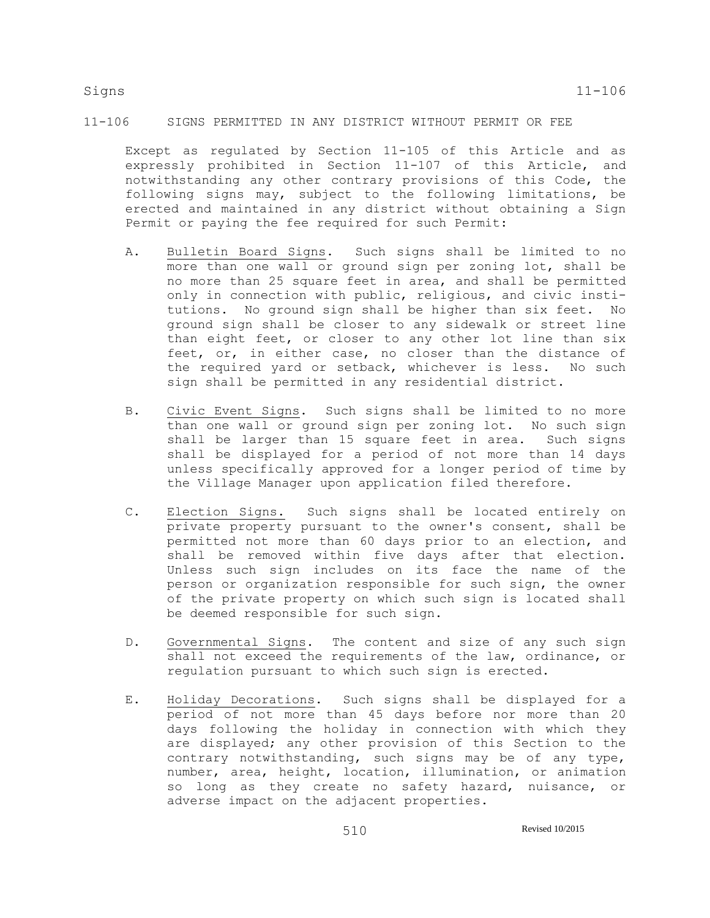# 11-106 SIGNS PERMITTED IN ANY DISTRICT WITHOUT PERMIT OR FEE

Except as regulated by Section 11-105 of this Article and as expressly prohibited in Section 11-107 of this Article, and notwithstanding any other contrary provisions of this Code, the following signs may, subject to the following limitations, be erected and maintained in any district without obtaining a Sign Permit or paying the fee required for such Permit:

- A. Bulletin Board Signs. Such signs shall be limited to no more than one wall or ground sign per zoning lot, shall be no more than 25 square feet in area, and shall be permitted only in connection with public, religious, and civic institutions. No ground sign shall be higher than six feet. No ground sign shall be closer to any sidewalk or street line than eight feet, or closer to any other lot line than six feet, or, in either case, no closer than the distance of the required yard or setback, whichever is less. No such sign shall be permitted in any residential district.
- B. Civic Event Signs. Such signs shall be limited to no more than one wall or ground sign per zoning lot. No such sign shall be larger than 15 square feet in area. Such signs shall be displayed for a period of not more than 14 days unless specifically approved for a longer period of time by the Village Manager upon application filed therefore.
- C. Election Signs. Such signs shall be located entirely on private property pursuant to the owner's consent, shall be permitted not more than 60 days prior to an election, and shall be removed within five days after that election. Unless such sign includes on its face the name of the person or organization responsible for such sign, the owner of the private property on which such sign is located shall be deemed responsible for such sign.
- D. Governmental Signs. The content and size of any such sign shall not exceed the requirements of the law, ordinance, or regulation pursuant to which such sign is erected.
- E. Holiday Decorations. Such signs shall be displayed for a period of not more than 45 days before nor more than 20 days following the holiday in connection with which they are displayed; any other provision of this Section to the contrary notwithstanding, such signs may be of any type, number, area, height, location, illumination, or animation so long as they create no safety hazard, nuisance, or adverse impact on the adjacent properties.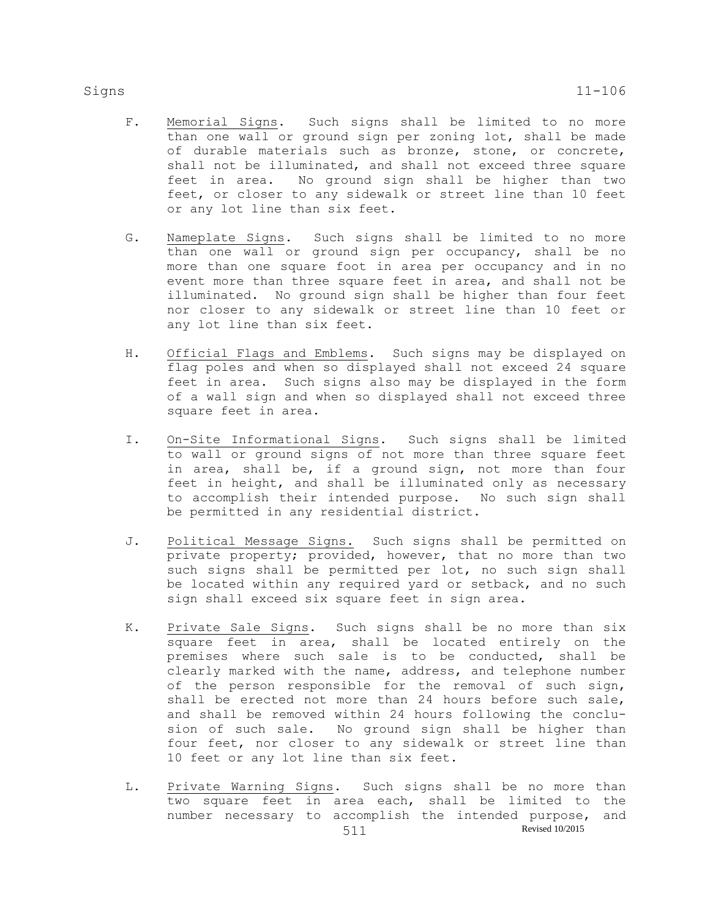- F. Memorial Signs. Such signs shall be limited to no more than one wall or ground sign per zoning lot, shall be made of durable materials such as bronze, stone, or concrete, shall not be illuminated, and shall not exceed three square feet in area. No ground sign shall be higher than two feet, or closer to any sidewalk or street line than 10 feet or any lot line than six feet.
- G. Nameplate Signs. Such signs shall be limited to no more than one wall or ground sign per occupancy, shall be no more than one square foot in area per occupancy and in no event more than three square feet in area, and shall not be illuminated. No ground sign shall be higher than four feet nor closer to any sidewalk or street line than 10 feet or any lot line than six feet.
- H. Official Flags and Emblems. Such signs may be displayed on flag poles and when so displayed shall not exceed 24 square feet in area. Such signs also may be displayed in the form of a wall sign and when so displayed shall not exceed three square feet in area.
- I. On-Site Informational Signs. Such signs shall be limited to wall or ground signs of not more than three square feet in area, shall be, if a ground sign, not more than four feet in height, and shall be illuminated only as necessary to accomplish their intended purpose. No such sign shall be permitted in any residential district.
- J. Political Message Signs. Such signs shall be permitted on private property; provided, however, that no more than two such signs shall be permitted per lot, no such sign shall be located within any required yard or setback, and no such sign shall exceed six square feet in sign area.
- K. Private Sale Signs. Such signs shall be no more than six square feet in area, shall be located entirely on the premises where such sale is to be conducted, shall be clearly marked with the name, address, and telephone number of the person responsible for the removal of such sign, shall be erected not more than 24 hours before such sale, and shall be removed within 24 hours following the conclusion of such sale. No ground sign shall be higher than four feet, nor closer to any sidewalk or street line than 10 feet or any lot line than six feet.
- 511 Revised 10/2015 L. Private Warning Signs. Such signs shall be no more than two square feet in area each, shall be limited to the number necessary to accomplish the intended purpose, and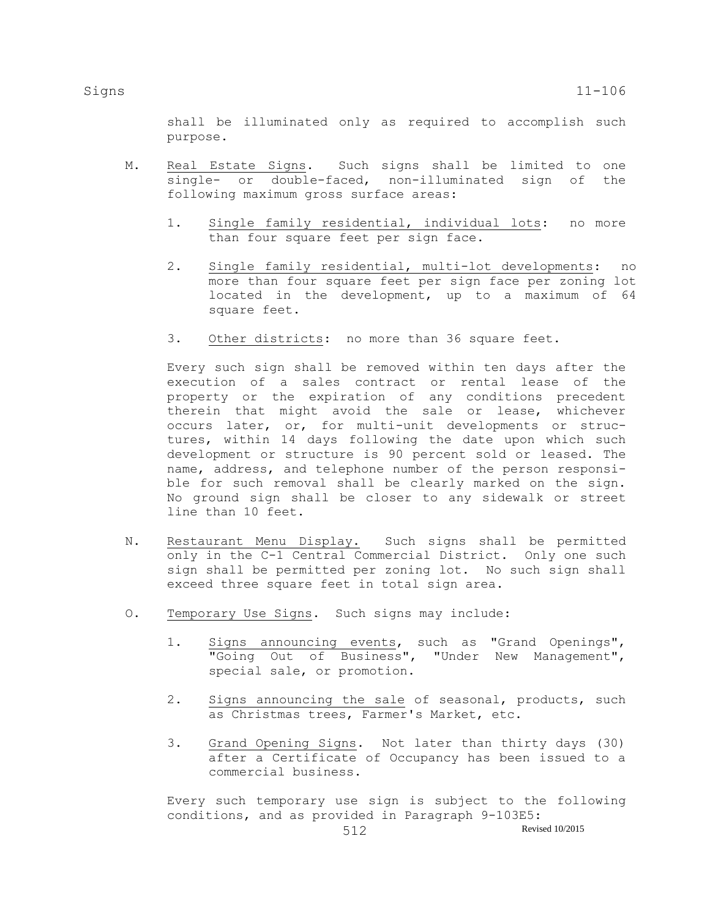shall be illuminated only as required to accomplish such purpose.

- M. Real Estate Signs. Such signs shall be limited to one single- or double-faced, non-illuminated sign of the following maximum gross surface areas:
	- 1. Single family residential, individual lots: no more than four square feet per sign face.
	- 2. Single family residential, multi-lot developments: no more than four square feet per sign face per zoning lot located in the development, up to a maximum of 64 square feet.
	- 3. Other districts: no more than 36 square feet.

Every such sign shall be removed within ten days after the execution of a sales contract or rental lease of the property or the expiration of any conditions precedent therein that might avoid the sale or lease, whichever occurs later, or, for multi-unit developments or structures, within 14 days following the date upon which such development or structure is 90 percent sold or leased. The name, address, and telephone number of the person responsible for such removal shall be clearly marked on the sign. No ground sign shall be closer to any sidewalk or street line than 10 feet.

- N. Restaurant Menu Display. Such signs shall be permitted only in the C-1 Central Commercial District. Only one such sign shall be permitted per zoning lot. No such sign shall exceed three square feet in total sign area.
- O. Temporary Use Signs. Such signs may include:
	- 1. Signs announcing events, such as "Grand Openings", "Going Out of Business", "Under New Management", special sale, or promotion.
	- 2. Signs announcing the sale of seasonal, products, such as Christmas trees, Farmer's Market, etc.
	- 3. Grand Opening Signs. Not later than thirty days (30) after a Certificate of Occupancy has been issued to a commercial business.

Every such temporary use sign is subject to the following conditions, and as provided in Paragraph 9-103E5: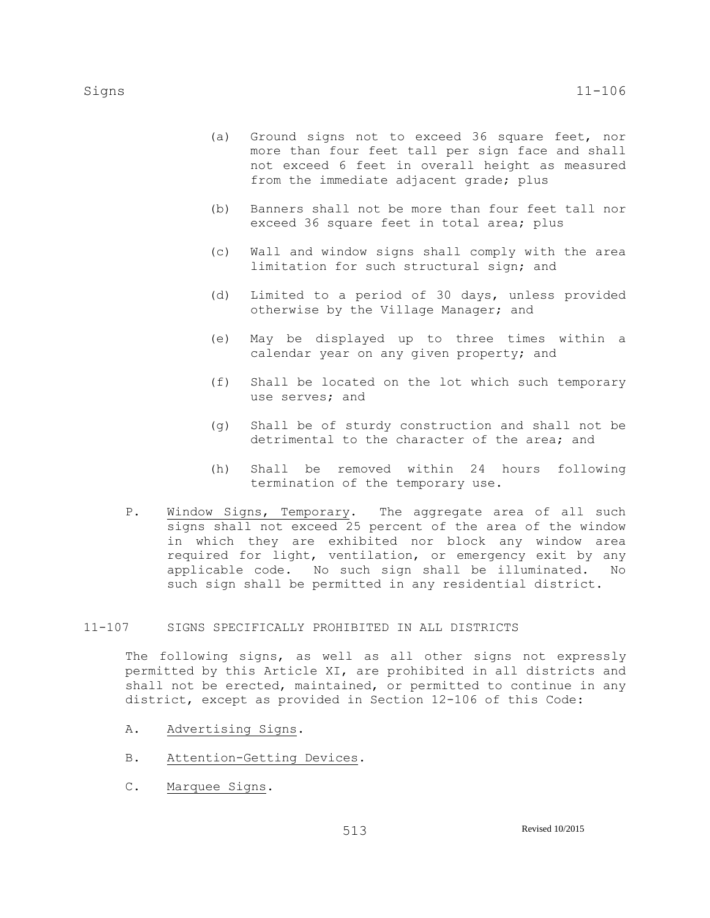- (a) Ground signs not to exceed 36 square feet, nor more than four feet tall per sign face and shall not exceed 6 feet in overall height as measured from the immediate adjacent grade; plus
- (b) Banners shall not be more than four feet tall nor exceed 36 square feet in total area; plus
- (c) Wall and window signs shall comply with the area limitation for such structural sign; and
- (d) Limited to a period of 30 days, unless provided otherwise by the Village Manager; and
- (e) May be displayed up to three times within a calendar year on any given property; and
- (f) Shall be located on the lot which such temporary use serves; and
- (g) Shall be of sturdy construction and shall not be detrimental to the character of the area; and
- (h) Shall be removed within 24 hours following termination of the temporary use.
- P. Window Signs, Temporary. The aggregate area of all such signs shall not exceed 25 percent of the area of the window in which they are exhibited nor block any window area required for light, ventilation, or emergency exit by any applicable code. No such sign shall be illuminated. No such sign shall be permitted in any residential district.

## 11-107 SIGNS SPECIFICALLY PROHIBITED IN ALL DISTRICTS

The following signs, as well as all other signs not expressly permitted by this Article XI, are prohibited in all districts and shall not be erected, maintained, or permitted to continue in any district, except as provided in Section 12-106 of this Code:

- A. Advertising Signs.
- B. Attention-Getting Devices.
- C. Marquee Signs.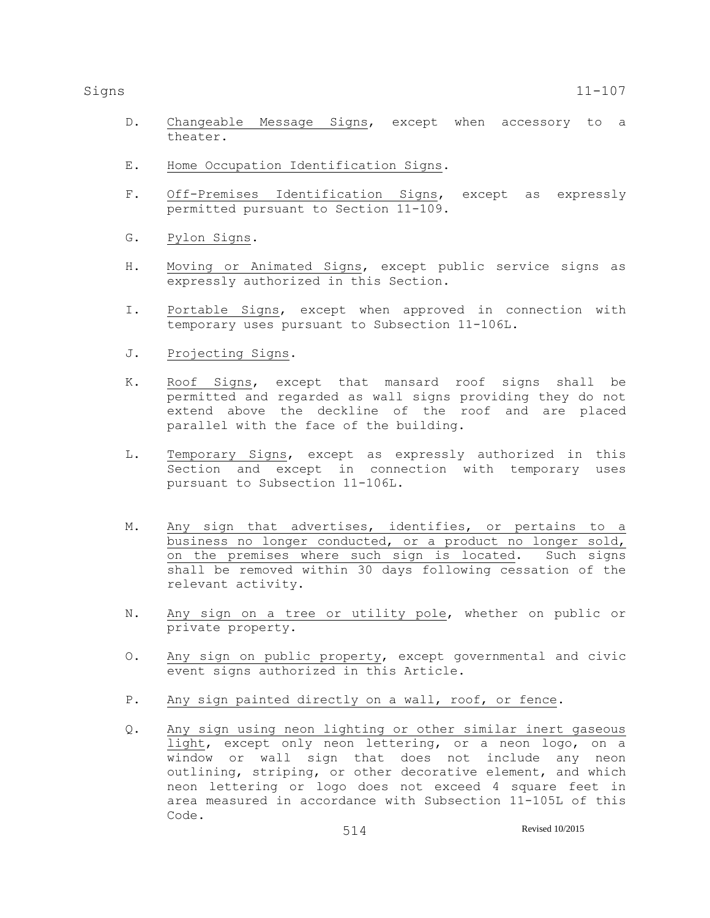- D. Changeable Message Signs, except when accessory to a theater.
- E. Home Occupation Identification Signs.
- F. Off-Premises Identification Signs, except as expressly permitted pursuant to Section 11-109.
- G. Pylon Signs.
- H. Moving or Animated Signs, except public service signs as expressly authorized in this Section.
- I. Portable Signs, except when approved in connection with temporary uses pursuant to Subsection 11-106L.
- J. Projecting Signs.
- K. Roof Signs, except that mansard roof signs shall be permitted and regarded as wall signs providing they do not extend above the deckline of the roof and are placed parallel with the face of the building.
- L. Temporary Signs, except as expressly authorized in this Section and except in connection with temporary uses pursuant to Subsection 11-106L.
- M. Any sign that advertises, identifies, or pertains to a business no longer conducted, or a product no longer sold, on the premises where such sign is located. Such signs shall be removed within 30 days following cessation of the relevant activity.
- N. Any sign on a tree or utility pole, whether on public or private property.
- O. Any sign on public property, except governmental and civic event signs authorized in this Article.
- P. Any sign painted directly on a wall, roof, or fence.
- Q. Any sign using neon lighting or other similar inert gaseous light, except only neon lettering, or a neon logo, on a window or wall sign that does not include any neon outlining, striping, or other decorative element, and which neon lettering or logo does not exceed 4 square feet in area measured in accordance with Subsection 11-105L of this Code.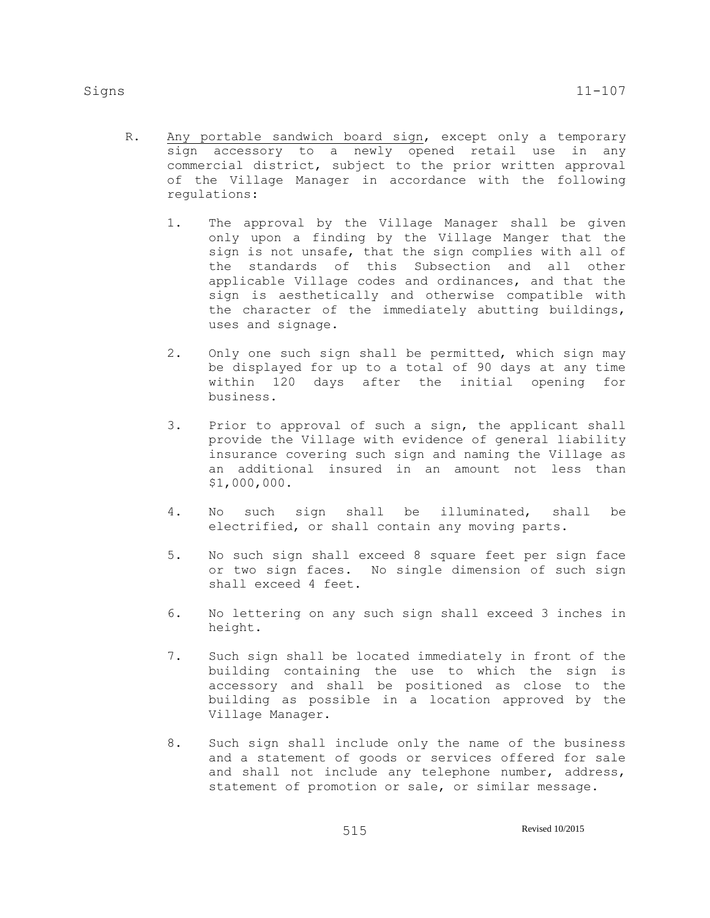- - R. Any portable sandwich board sign, except only a temporary sign accessory to a newly opened retail use in any commercial district, subject to the prior written approval of the Village Manager in accordance with the following regulations:
		- 1. The approval by the Village Manager shall be given only upon a finding by the Village Manger that the sign is not unsafe, that the sign complies with all of the standards of this Subsection and all other applicable Village codes and ordinances, and that the sign is aesthetically and otherwise compatible with the character of the immediately abutting buildings, uses and signage.
		- 2. Only one such sign shall be permitted, which sign may be displayed for up to a total of 90 days at any time within 120 days after the initial opening for business.
		- 3. Prior to approval of such a sign, the applicant shall provide the Village with evidence of general liability insurance covering such sign and naming the Village as an additional insured in an amount not less than \$1,000,000.
		- 4. No such sign shall be illuminated, shall be electrified, or shall contain any moving parts.
		- 5. No such sign shall exceed 8 square feet per sign face or two sign faces. No single dimension of such sign shall exceed 4 feet.
		- 6. No lettering on any such sign shall exceed 3 inches in height.
		- 7. Such sign shall be located immediately in front of the building containing the use to which the sign is accessory and shall be positioned as close to the building as possible in a location approved by the Village Manager.
		- 8. Such sign shall include only the name of the business and a statement of goods or services offered for sale and shall not include any telephone number, address, statement of promotion or sale, or similar message.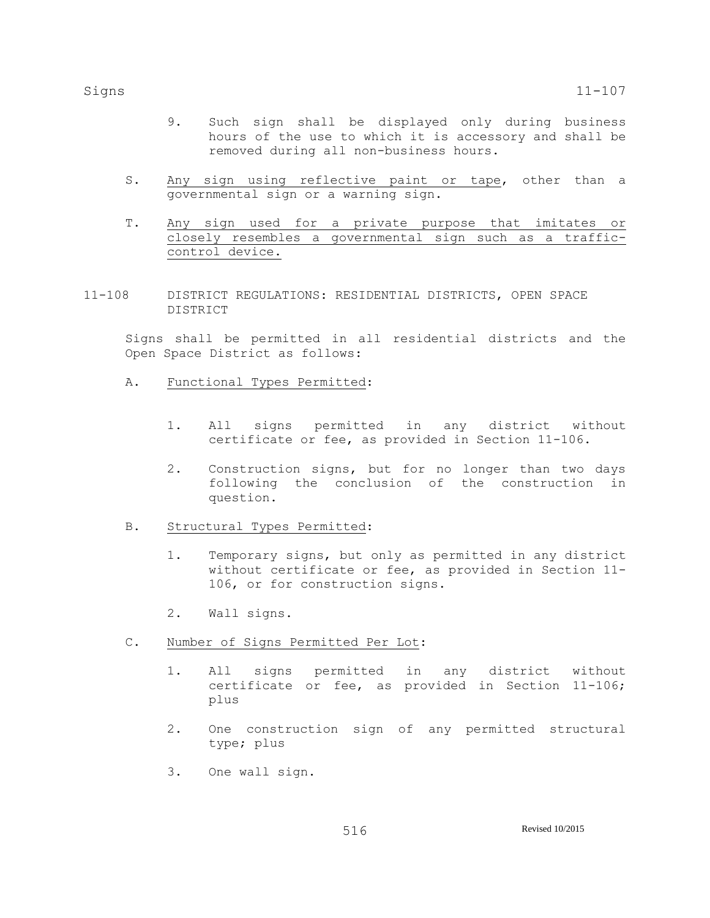- 9. Such sign shall be displayed only during business hours of the use to which it is accessory and shall be removed during all non-business hours.
- S. Any sign using reflective paint or tape, other than a governmental sign or a warning sign.
- T. Any sign used for a private purpose that imitates or closely resembles a governmental sign such as a trafficcontrol device.
- 11-108 DISTRICT REGULATIONS: RESIDENTIAL DISTRICTS, OPEN SPACE DISTRICT

Signs shall be permitted in all residential districts and the Open Space District as follows:

- A. Functional Types Permitted:
	- 1. All signs permitted in any district without certificate or fee, as provided in Section 11-106.
	- 2. Construction signs, but for no longer than two days following the conclusion of the construction in question.
- B. Structural Types Permitted:
	- 1. Temporary signs, but only as permitted in any district without certificate or fee, as provided in Section 11- 106, or for construction signs.
	- 2. Wall signs.
- C. Number of Signs Permitted Per Lot:
	- 1. All signs permitted in any district without certificate or fee, as provided in Section 11-106; plus
	- 2. One construction sign of any permitted structural type; plus
	- 3. One wall sign.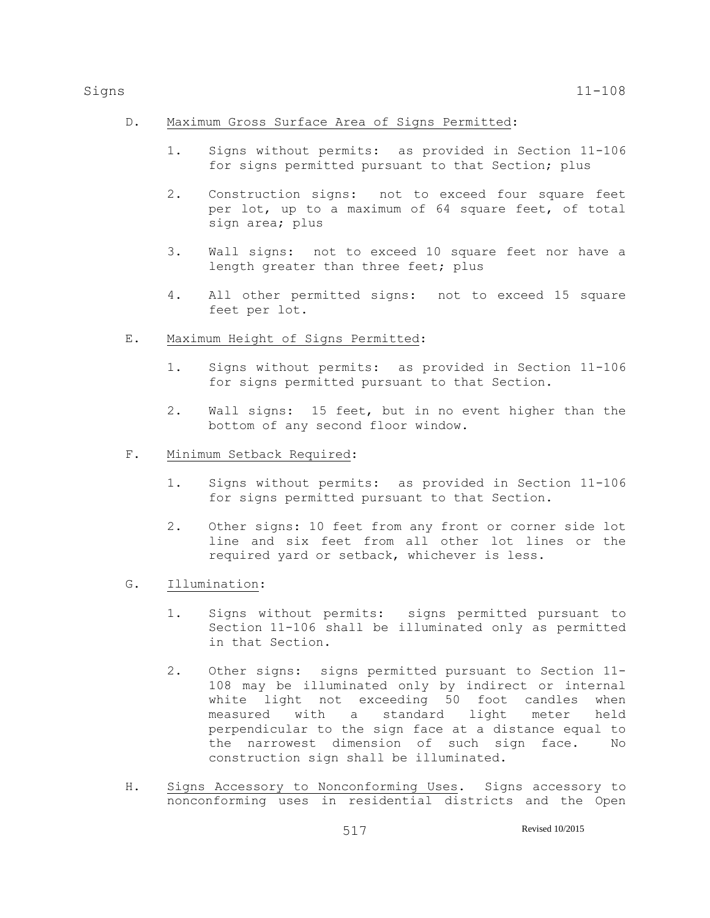# D. Maximum Gross Surface Area of Signs Permitted:

- 1. Signs without permits: as provided in Section 11-106 for signs permitted pursuant to that Section; plus
- 2. Construction signs: not to exceed four square feet per lot, up to a maximum of 64 square feet, of total sign area; plus
- 3. Wall signs: not to exceed 10 square feet nor have a length greater than three feet; plus
- 4. All other permitted signs: not to exceed 15 square feet per lot.

# E. Maximum Height of Signs Permitted:

- 1. Signs without permits: as provided in Section 11-106 for signs permitted pursuant to that Section.
- 2. Wall signs: 15 feet, but in no event higher than the bottom of any second floor window.

# F. Minimum Setback Required:

- 1. Signs without permits: as provided in Section 11-106 for signs permitted pursuant to that Section.
- 2. Other signs: 10 feet from any front or corner side lot line and six feet from all other lot lines or the required yard or setback, whichever is less.
- G. Illumination:
	- 1. Signs without permits: signs permitted pursuant to Section 11-106 shall be illuminated only as permitted in that Section.
	- 2. Other signs: signs permitted pursuant to Section 11- 108 may be illuminated only by indirect or internal white light not exceeding 50 foot candles when measured with a standard light meter held perpendicular to the sign face at a distance equal to the narrowest dimension of such sign face. No construction sign shall be illuminated.
- H. Signs Accessory to Nonconforming Uses. Signs accessory to nonconforming uses in residential districts and the Open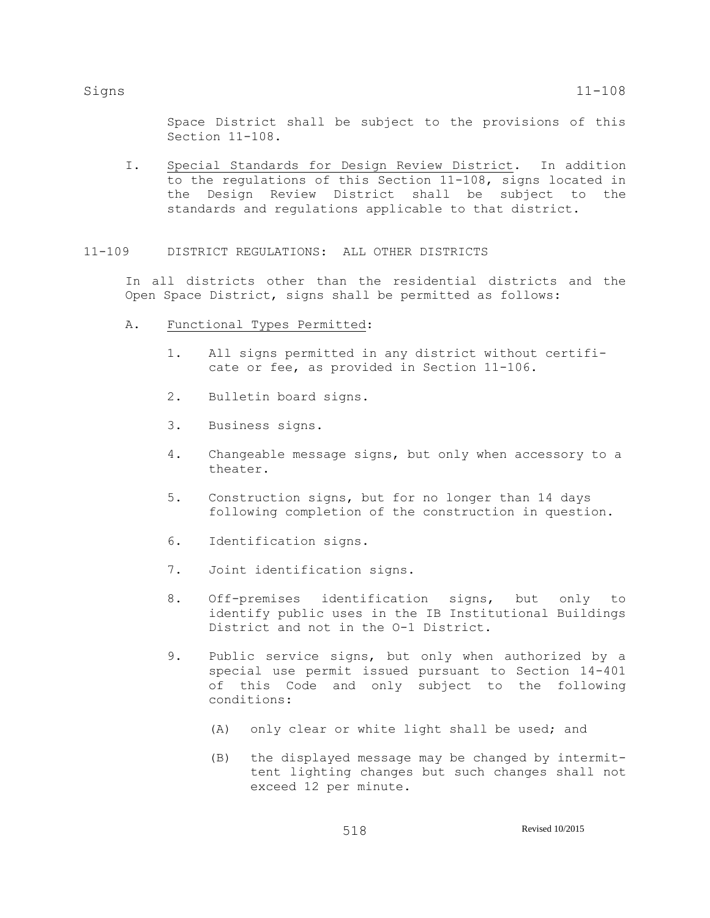Space District shall be subject to the provisions of this Section 11-108.

I. Special Standards for Design Review District. In addition to the regulations of this Section 11-108, signs located in the Design Review District shall be subject to the standards and regulations applicable to that district.

## 11-109 DISTRICT REGULATIONS: ALL OTHER DISTRICTS

In all districts other than the residential districts and the Open Space District, signs shall be permitted as follows:

- A. Functional Types Permitted:
	- 1. All signs permitted in any district without certificate or fee, as provided in Section 11-106.
	- 2. Bulletin board signs.
	- 3. Business signs.
	- 4. Changeable message signs, but only when accessory to a theater.
	- 5. Construction signs, but for no longer than 14 days following completion of the construction in question.
	- 6. Identification signs.
	- 7. Joint identification signs.
	- 8. Off-premises identification signs, but only to identify public uses in the IB Institutional Buildings District and not in the O-1 District.
	- 9. Public service signs, but only when authorized by a special use permit issued pursuant to Section 14-401 of this Code and only subject to the following conditions:
		- (A) only clear or white light shall be used; and
		- (B) the displayed message may be changed by intermittent lighting changes but such changes shall not exceed 12 per minute.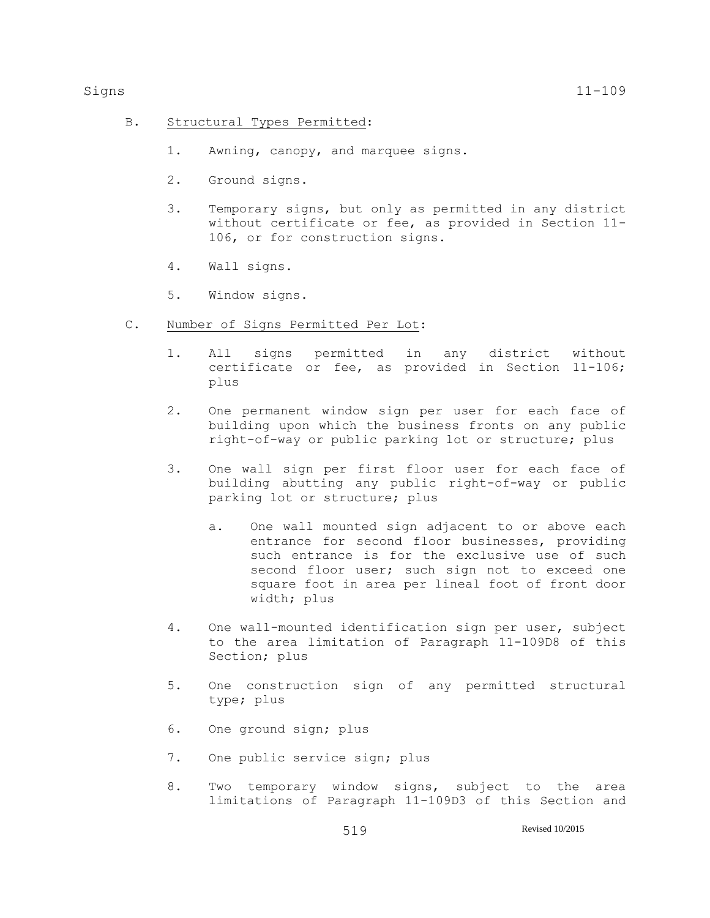- B. Structural Types Permitted:
	- 1. Awning, canopy, and marquee signs.
	- 2. Ground signs.
	- 3. Temporary signs, but only as permitted in any district without certificate or fee, as provided in Section 11- 106, or for construction signs.
	- 4. Wall signs.
	- 5. Window signs.
- C. Number of Signs Permitted Per Lot:
	- 1. All signs permitted in any district without certificate or fee, as provided in Section 11-106; plus
	- 2. One permanent window sign per user for each face of building upon which the business fronts on any public right-of-way or public parking lot or structure; plus
	- 3. One wall sign per first floor user for each face of building abutting any public right-of-way or public parking lot or structure; plus
		- a. One wall mounted sign adjacent to or above each entrance for second floor businesses, providing such entrance is for the exclusive use of such second floor user; such sign not to exceed one square foot in area per lineal foot of front door width; plus
	- 4. One wall-mounted identification sign per user, subject to the area limitation of Paragraph 11-109D8 of this Section; plus
	- 5. One construction sign of any permitted structural type; plus
	- 6. One ground sign; plus
	- 7. One public service sign; plus
	- 8. Two temporary window signs, subject to the area limitations of Paragraph 11-109D3 of this Section and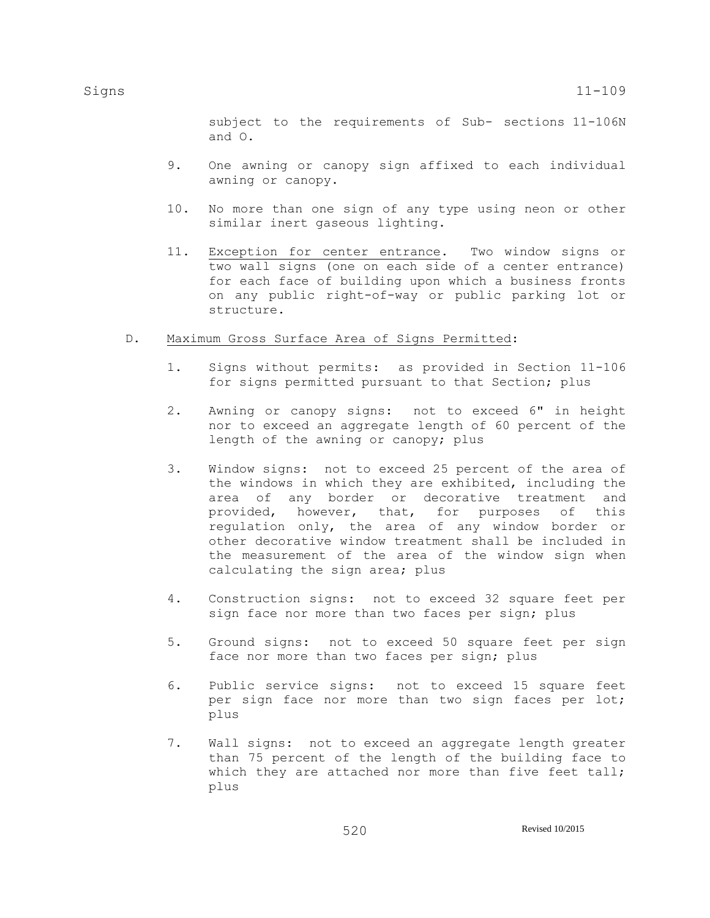subject to the requirements of Sub- sections 11-106N and O.

- 9. One awning or canopy sign affixed to each individual awning or canopy.
- 10. No more than one sign of any type using neon or other similar inert gaseous lighting.
- 11. Exception for center entrance. Two window signs or two wall signs (one on each side of a center entrance) for each face of building upon which a business fronts on any public right-of-way or public parking lot or structure.

# D. Maximum Gross Surface Area of Signs Permitted:

- 1. Signs without permits: as provided in Section 11-106 for signs permitted pursuant to that Section; plus
- 2. Awning or canopy signs: not to exceed 6" in height nor to exceed an aggregate length of 60 percent of the length of the awning or canopy; plus
- 3. Window signs: not to exceed 25 percent of the area of the windows in which they are exhibited, including the area of any border or decorative treatment and provided, however, that, for purposes of this regulation only, the area of any window border or other decorative window treatment shall be included in the measurement of the area of the window sign when calculating the sign area; plus
- 4. Construction signs: not to exceed 32 square feet per sign face nor more than two faces per sign; plus
- 5. Ground signs: not to exceed 50 square feet per sign face nor more than two faces per sign; plus
- 6. Public service signs: not to exceed 15 square feet per sign face nor more than two sign faces per lot; plus
- 7. Wall signs: not to exceed an aggregate length greater than 75 percent of the length of the building face to which they are attached nor more than five feet tall; plus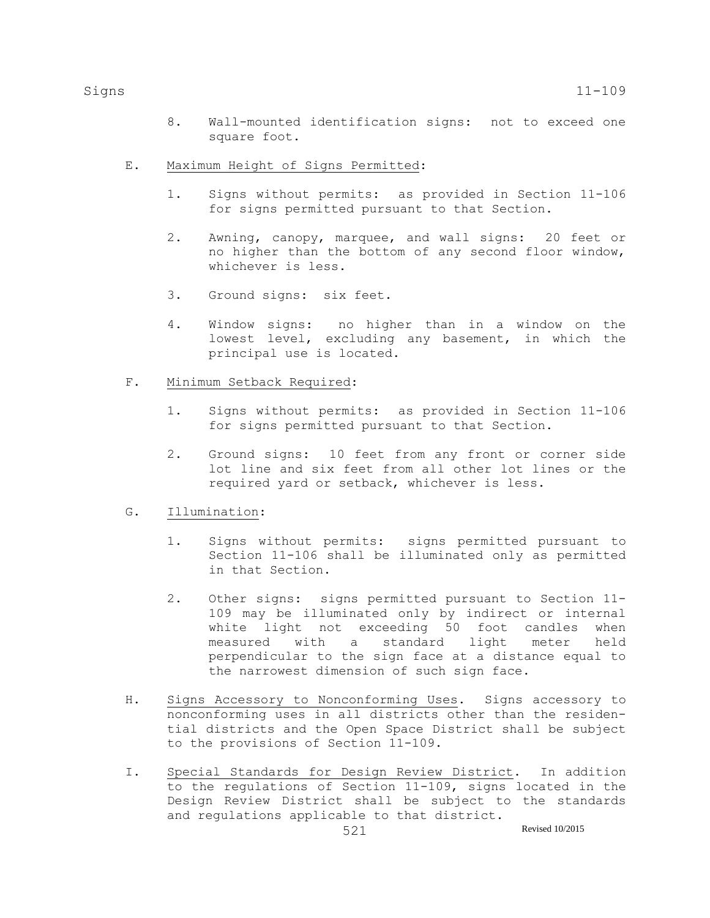- 8. Wall-mounted identification signs: not to exceed one square foot.
- E. Maximum Height of Signs Permitted:
	- 1. Signs without permits: as provided in Section 11-106 for signs permitted pursuant to that Section.
	- 2. Awning, canopy, marquee, and wall signs: 20 feet or no higher than the bottom of any second floor window, whichever is less.
	- 3. Ground signs: six feet.
	- 4. Window signs: no higher than in a window on the lowest level, excluding any basement, in which the principal use is located.
- F. Minimum Setback Required:
	- 1. Signs without permits: as provided in Section 11-106 for signs permitted pursuant to that Section.
	- 2. Ground signs: 10 feet from any front or corner side lot line and six feet from all other lot lines or the required yard or setback, whichever is less.

## G. Illumination:

- 1. Signs without permits: signs permitted pursuant to Section 11-106 shall be illuminated only as permitted in that Section.
- 2. Other signs: signs permitted pursuant to Section 11- 109 may be illuminated only by indirect or internal white light not exceeding 50 foot candles when measured with a standard light meter held perpendicular to the sign face at a distance equal to the narrowest dimension of such sign face.
- H. Signs Accessory to Nonconforming Uses. Signs accessory to nonconforming uses in all districts other than the residential districts and the Open Space District shall be subject to the provisions of Section 11-109.
- I. Special Standards for Design Review District. In addition to the regulations of Section 11-109, signs located in the Design Review District shall be subject to the standards and regulations applicable to that district.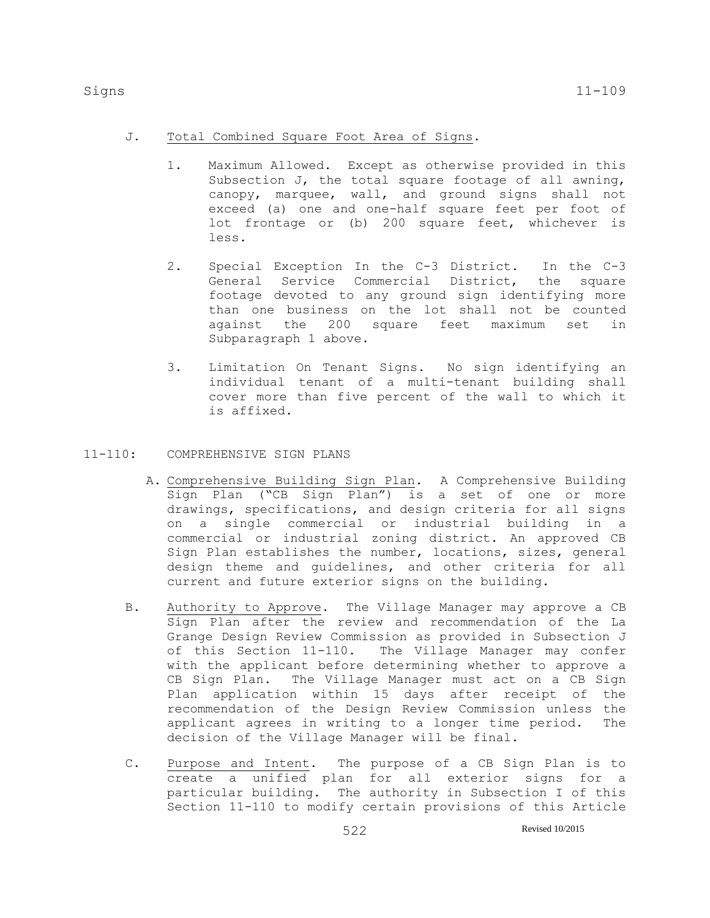- J. Total Combined Square Foot Area of Signs.
	- 1. Maximum Allowed. Except as otherwise provided in this Subsection J, the total square footage of all awning, canopy, marquee, wall, and ground signs shall not exceed (a) one and one-half square feet per foot of lot frontage or (b) 200 square feet, whichever is less.
	- 2. Special Exception In the C-3 District. In the C-3 General Service Commercial District, the square footage devoted to any ground sign identifying more than one business on the lot shall not be counted against the 200 square feet maximum set in Subparagraph 1 above.
	- 3. Limitation On Tenant Signs. No sign identifying an individual tenant of a multi-tenant building shall cover more than five percent of the wall to which it is affixed.
- 11-110: COMPREHENSIVE SIGN PLANS
	- A. Comprehensive Building Sign Plan. A Comprehensive Building Sign Plan ("CB Sign Plan") is a set of one or more drawings, specifications, and design criteria for all signs on a single commercial or industrial building in a commercial or industrial zoning district. An approved CB Sign Plan establishes the number, locations, sizes, general design theme and guidelines, and other criteria for all current and future exterior signs on the building.
	- B. Authority to Approve. The Village Manager may approve a CB Sign Plan after the review and recommendation of the La Grange Design Review Commission as provided in Subsection J of this Section 11-110. The Village Manager may confer with the applicant before determining whether to approve a CB Sign Plan. The Village Manager must act on a CB Sign Plan application within 15 days after receipt of the recommendation of the Design Review Commission unless the applicant agrees in writing to a longer time period. The decision of the Village Manager will be final.
	- C. Purpose and Intent. The purpose of a CB Sign Plan is to create a unified plan for all exterior signs for a particular building. The authority in Subsection I of this Section 11-110 to modify certain provisions of this Article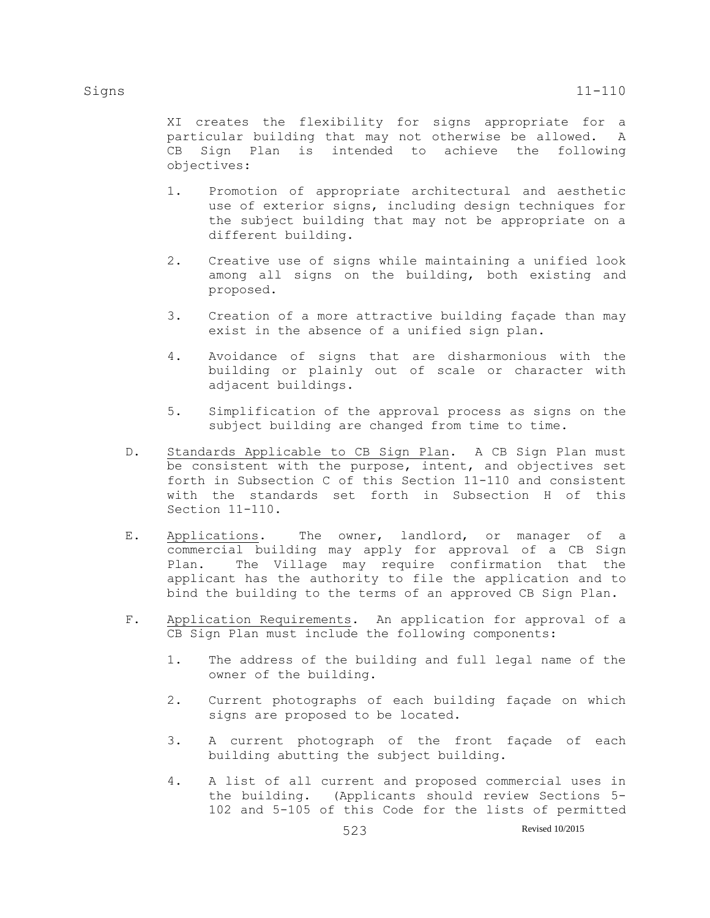XI creates the flexibility for signs appropriate for a particular building that may not otherwise be allowed. A CB Sign Plan is intended to achieve the following objectives:

- 1. Promotion of appropriate architectural and aesthetic use of exterior signs, including design techniques for the subject building that may not be appropriate on a different building.
- 2. Creative use of signs while maintaining a unified look among all signs on the building, both existing and proposed.
- 3. Creation of a more attractive building façade than may exist in the absence of a unified sign plan.
- 4. Avoidance of signs that are disharmonious with the building or plainly out of scale or character with adjacent buildings.
- 5. Simplification of the approval process as signs on the subject building are changed from time to time.
- D. Standards Applicable to CB Sign Plan. A CB Sign Plan must be consistent with the purpose, intent, and objectives set forth in Subsection C of this Section 11-110 and consistent with the standards set forth in Subsection H of this Section 11-110.
- E. Applications. The owner, landlord, or manager of a commercial building may apply for approval of a CB Sign Plan. The Village may require confirmation that the applicant has the authority to file the application and to bind the building to the terms of an approved CB Sign Plan.
- F. Application Requirements. An application for approval of a CB Sign Plan must include the following components:
	- 1. The address of the building and full legal name of the owner of the building.
	- 2. Current photographs of each building façade on which signs are proposed to be located.
	- 3. A current photograph of the front façade of each building abutting the subject building.
	- 4. A list of all current and proposed commercial uses in the building. (Applicants should review Sections 5- 102 and 5-105 of this Code for the lists of permitted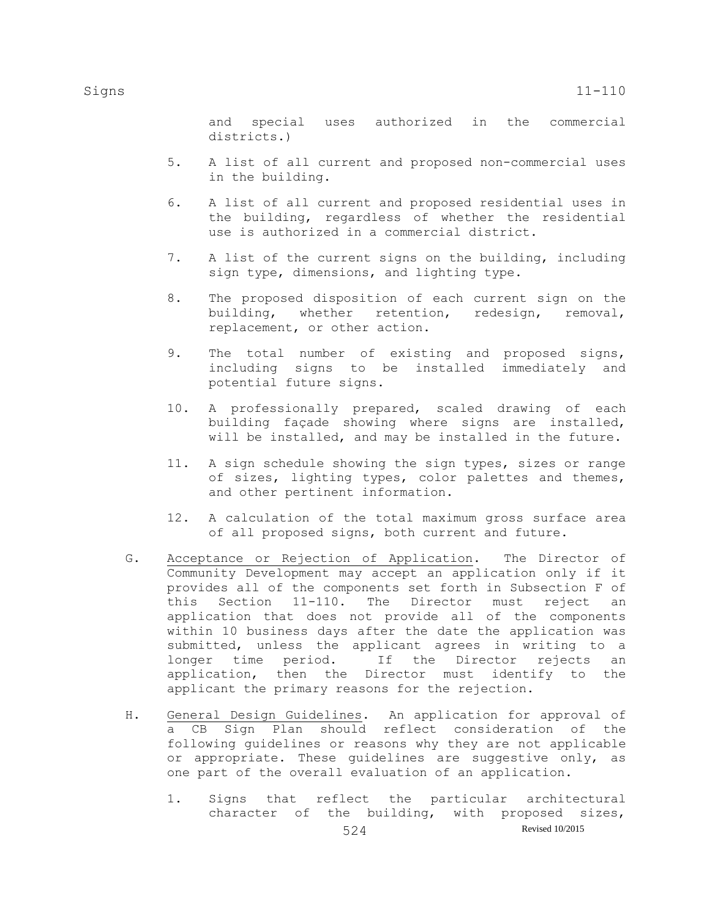and special uses authorized in the commercial districts.)

- 5. A list of all current and proposed non-commercial uses in the building.
- 6. A list of all current and proposed residential uses in the building, regardless of whether the residential use is authorized in a commercial district.
- 7. A list of the current signs on the building, including sign type, dimensions, and lighting type.
- 8. The proposed disposition of each current sign on the building, whether retention, redesign, removal, replacement, or other action.
- 9. The total number of existing and proposed signs, including signs to be installed immediately and potential future signs.
- 10. A professionally prepared, scaled drawing of each building façade showing where signs are installed, will be installed, and may be installed in the future.
- 11. A sign schedule showing the sign types, sizes or range of sizes, lighting types, color palettes and themes, and other pertinent information.
- 12. A calculation of the total maximum gross surface area of all proposed signs, both current and future.
- G. Acceptance or Rejection of Application. The Director of Community Development may accept an application only if it provides all of the components set forth in Subsection F of this Section 11-110. The Director must reject an application that does not provide all of the components within 10 business days after the date the application was submitted, unless the applicant agrees in writing to a longer time period. If the Director rejects an application, then the Director must identify to the applicant the primary reasons for the rejection.
- H. General Design Guidelines. An application for approval of a CB Sign Plan should reflect consideration of the following guidelines or reasons why they are not applicable or appropriate. These guidelines are suggestive only, as one part of the overall evaluation of an application.
	- 1. Signs that reflect the particular architectural character of the building, with proposed sizes,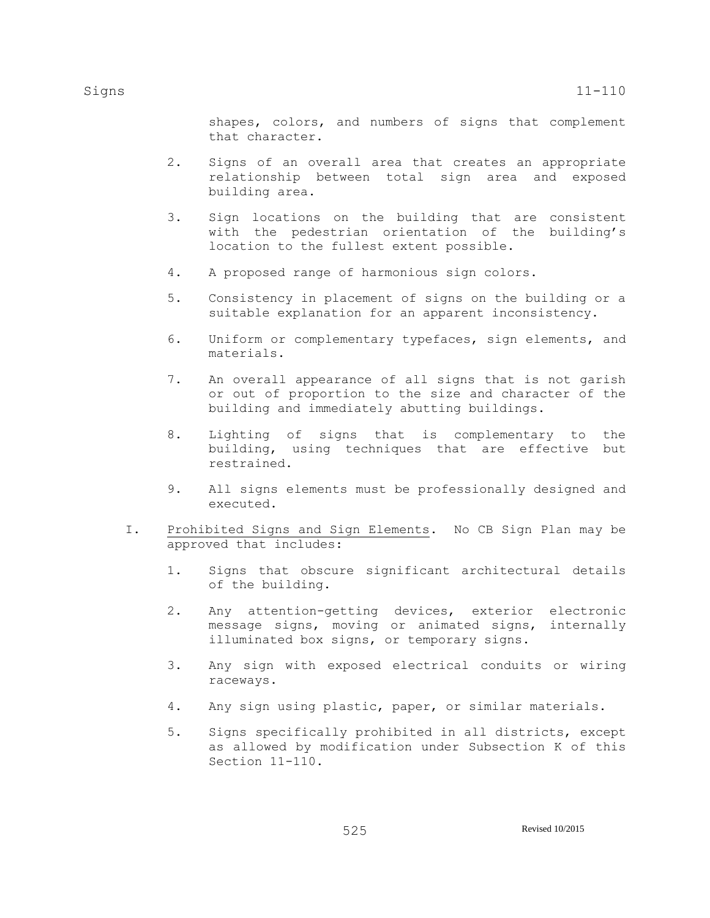shapes, colors, and numbers of signs that complement that character.

- 2. Signs of an overall area that creates an appropriate relationship between total sign area and exposed building area.
- 3. Sign locations on the building that are consistent with the pedestrian orientation of the building's location to the fullest extent possible.
- 4. A proposed range of harmonious sign colors.
- 5. Consistency in placement of signs on the building or a suitable explanation for an apparent inconsistency.
- 6. Uniform or complementary typefaces, sign elements, and materials.
- 7. An overall appearance of all signs that is not garish or out of proportion to the size and character of the building and immediately abutting buildings.
- 8. Lighting of signs that is complementary to the building, using techniques that are effective but restrained.
- 9. All signs elements must be professionally designed and executed.
- I. Prohibited Signs and Sign Elements. No CB Sign Plan may be approved that includes:
	- 1. Signs that obscure significant architectural details of the building.
	- 2. Any attention-getting devices, exterior electronic message signs, moving or animated signs, internally illuminated box signs, or temporary signs.
	- 3. Any sign with exposed electrical conduits or wiring raceways.
	- 4. Any sign using plastic, paper, or similar materials.
	- 5. Signs specifically prohibited in all districts, except as allowed by modification under Subsection K of this Section 11-110.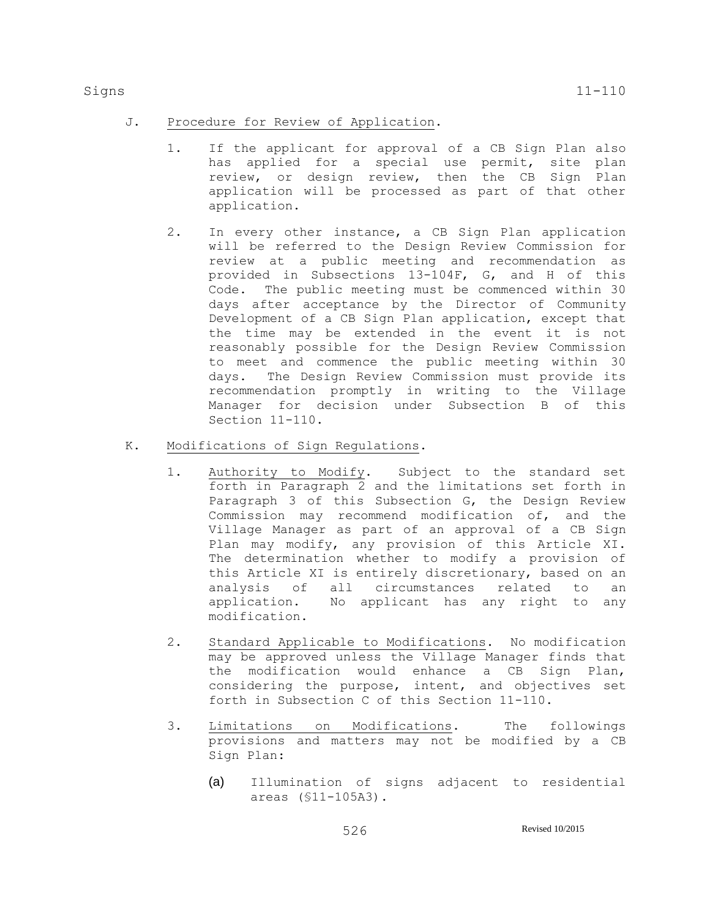- J. Procedure for Review of Application.
	- 1. If the applicant for approval of a CB Sign Plan also has applied for a special use permit, site plan review, or design review, then the CB Sign Plan application will be processed as part of that other application.
	- 2. In every other instance, a CB Sign Plan application will be referred to the Design Review Commission for review at a public meeting and recommendation as provided in Subsections 13-104F, G, and H of this Code. The public meeting must be commenced within 30 days after acceptance by the Director of Community Development of a CB Sign Plan application, except that the time may be extended in the event it is not reasonably possible for the Design Review Commission to meet and commence the public meeting within 30 days. The Design Review Commission must provide its recommendation promptly in writing to the Village Manager for decision under Subsection B of this Section 11-110.
- K. Modifications of Sign Regulations.
	- 1. Authority to Modify. Subject to the standard set forth in Paragraph 2 and the limitations set forth in Paragraph 3 of this Subsection G, the Design Review Commission may recommend modification of, and the Village Manager as part of an approval of a CB Sign Plan may modify, any provision of this Article XI. The determination whether to modify a provision of this Article XI is entirely discretionary, based on an analysis of all circumstances related to an application. No applicant has any right to any modification.
	- 2. Standard Applicable to Modifications. No modification may be approved unless the Village Manager finds that the modification would enhance a CB Sign Plan, considering the purpose, intent, and objectives set forth in Subsection C of this Section 11-110.
	- 3. Limitations on Modifications. The followings provisions and matters may not be modified by a CB Sign Plan:
		- (a) Illumination of signs adjacent to residential areas (§11-105A3).